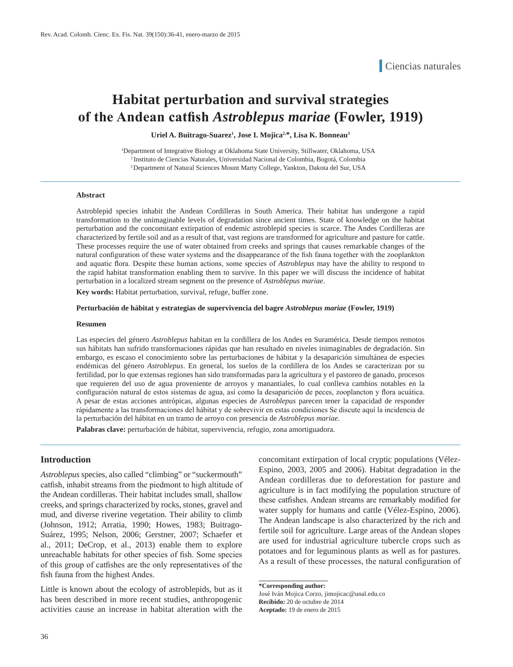# **Habitat perturbation and survival strategies of the Andean catfish** *Astroblepus mariae* **(Fowler, 1919)**

Uriel A. Buitrago-Suarez<sup>1</sup>, Jose I. Mojica<sup>2,\*</sup>, Lisa K. Bonneau<sup>3</sup>

1 Department of Integrative Biology at Oklahoma State University, Stillwater, Oklahoma, USA 2 Instituto de Ciencias Naturales, Universidad Nacional de Colombia, Bogotá, Colombia 3 Department of Natural Sciences Mount Marty College, Yankton, Dakota del Sur, USA

#### **Abstract**

Astroblepid species inhabit the Andean Cordilleras in South America. Their habitat has undergone a rapid transformation to the unimaginable levels of degradation since ancient times. State of knowledge on the habitat perturbation and the concomitant extirpation of endemic astroblepid species is scarce. The Andes Cordilleras are characterized by fertile soil and as a result of that, vast regions are transformed for agriculture and pasture for cattle. These processes require the use of water obtained from creeks and springs that causes remarkable changes of the natural configuration of these water systems and the disappearance of the fish fauna together with the zooplankton and aquatic flora. Despite these human actions, some species of *Astroblepus* may have the ability to respond to the rapid habitat transformation enabling them to survive. In this paper we will discuss the incidence of habitat perturbation in a localized stream segment on the presence of *Astroblepus mariae*.

**Key words:** Habitat perturbation, survival, refuge, buffer zone.

#### **Perturbación de hábitat y estrategias de supervivencia del bagre** *Astroblepus mariae* **(Fowler, 1919)**

#### **Resumen**

Las especies del género *Astroblepus* habitan en la cordillera de los Andes en Suramérica. Desde tiempos remotos sus hábitats han sufrido transformaciones rápidas que han resultado en niveles inimaginables de degradación. Sin embargo, es escaso el conocimiento sobre las perturbaciones de hábitat y la desaparición simultánea de especies endémicas del género *Astroblepus*. En general, los suelos de la cordillera de los Andes se caracterizan por su fertilidad, por lo que extensas regiones han sido transformadas para la agricultura y el pastoreo de ganado, procesos que requieren del uso de agua proveniente de arroyos y manantiales, lo cual conlleva cambios notables en la configuración natural de estos sistemas de agua, así como la desaparición de peces, zooplancton y flora acuática. A pesar de estas acciones antrópicas, algunas especies de *Astroblepus* parecen tener la capacidad de responder rápidamente a las transformaciones del hábitat y de sobrevivir en estas condiciones Se discute aquí la incidencia de la perturbación del hábitat en un tramo de arroyo con presencia de *Astroblepus mariae*.

**Palabras clave:** perturbación de hábitat, supervivencia, refugio, zona amortiguadora.

#### **Introduction**

*Astroblepus* species, also called "climbing" or "suckermouth" catfish, inhabit streams from the piedmont to high altitude of the Andean cordilleras. Their habitat includes small, shallow creeks, and springs characterized by rocks, stones, gravel and mud, and diverse riverine vegetation. Their ability to climb (Johnson, 1912; Arratia, 1990; Howes, 1983; Buitrago-Suárez, 1995; Nelson, 2006; Gerstner, 2007; Schaefer et al., 2011; DeCrop, et al., 2013) enable them to explore unreachable habitats for other species of fish. Some species of this group of catfishes are the only representatives of the fish fauna from the highest Andes.

Little is known about the ecology of astroblepids, but as it has been described in more recent studies, anthropogenic activities cause an increase in habitat alteration with the

concomitant extirpation of local cryptic populations (Vélez-Espino, 2003, 2005 and 2006). Habitat degradation in the Andean cordilleras due to deforestation for pasture and agriculture is in fact modifying the population structure of these catfishes. Andean streams are remarkably modified for water supply for humans and cattle (Vélez-Espino, 2006). The Andean landscape is also characterized by the rich and fertile soil for agriculture. Large areas of the Andean slopes are used for industrial agriculture tubercle crops such as potatoes and for leguminous plants as well as for pastures. As a result of these processes, the natural configuration of

José Iván Mojica Corzo, jimojicac@unal.edu.co **Recibido:** 20 de octubre de 2014 **Aceptado:** 19 de enero de 2015

**<sup>\*</sup>Corresponding author:**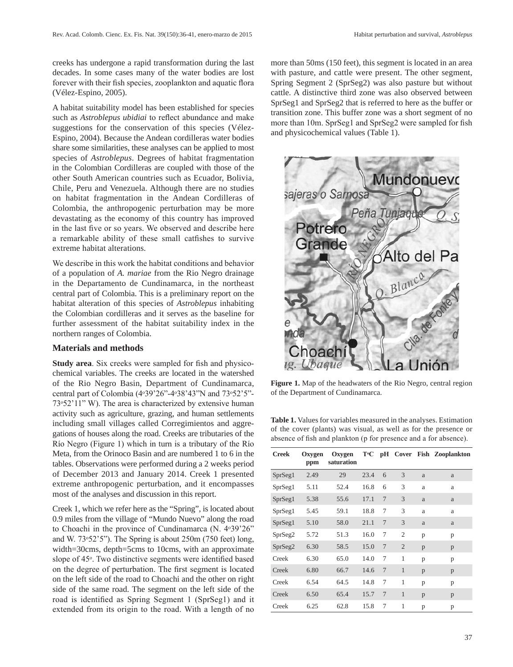creeks has undergone a rapid transformation during the last decades. In some cases many of the water bodies are lost forever with their fish species, zooplankton and aquatic flora (Vélez-Espino, 2005).

A habitat suitability model has been established for species such as *Astroblepus ubidiai* to reflect abundance and make suggestions for the conservation of this species (Vélez-Espino, 2004). Because the Andean cordilleras water bodies share some similarities, these analyses can be applied to most species of *Astroblepus*. Degrees of habitat fragmentation in the Colombian Cordilleras are coupled with those of the other South American countries such as Ecuador, Bolivia, Chile, Peru and Venezuela. Although there are no studies on habitat fragmentation in the Andean Cordilleras of Colombia, the anthropogenic perturbation may be more devastating as the economy of this country has improved in the last five or so years. We observed and describe here a remarkable ability of these small catfishes to survive extreme habitat alterations.

We describe in this work the habitat conditions and behavior of a population of *A. mariae* from the Rio Negro drainage in the Departamento de Cundinamarca, in the northeast central part of Colombia. This is a preliminary report on the habitat alteration of this species of *Astroblepus* inhabiting the Colombian cordilleras and it serves as the baseline for further assessment of the habitat suitability index in the northern ranges of Colombia.

## **Materials and methods**

**Study area**. Six creeks were sampled for fish and physicochemical variables. The creeks are located in the watershed of the Rio Negro Basin, Department of Cundinamarca, central part of Colombia (4°39'26"-4°38'43"N and 73°52'5"- $73°52'11''$  W). The area is characterized by extensive human activity such as agriculture, grazing, and human settlements including small villages called Corregimientos and aggregations of houses along the road. Creeks are tributaries of the Río Negro (Figure 1) which in turn is a tributary of the Río Meta, from the Orinoco Basin and are numbered 1 to 6 in the tables. Observations were performed during a 2 weeks period of December 2013 and January 2014. Creek 1 presented extreme anthropogenic perturbation, and it encompasses most of the analyses and discussion in this report.

Creek 1, which we refer here as the "Spring", is located about 0.9 miles from the village of "Mundo Nuevo" along the road to Choachi in the province of Cundinamarca (N. 4 $\degree$ 39'26" and W.  $73°52'5"$ . The Spring is about  $250m$  (750 feet) long, width=30cms, depth=5cms to 10cms, with an approximate slope of 45<sup>°</sup>. Two distinctive segments were identified based on the degree of perturbation. The first segment is located on the left side of the road to Choachi and the other on right side of the same road. The segment on the left side of the road is identified as Spring Segment 1 (SprSeg1) and it extended from its origin to the road. With a length of no more than 50ms (150 feet), this segment is located in an area with pasture, and cattle were present. The other segment, Spring Segment 2 (SprSeg2) was also pasture but without cattle. A distinctive third zone was also observed between SprSeg1 and SprSeg2 that is referred to here as the buffer or transition zone. This buffer zone was a short segment of no more than 10m. SprSeg1 and SprSeg2 were sampled for fish and physicochemical values (Table 1).



**Figure 1.** Map of the headwaters of the Rio Negro, central region of the Department of Cundinamarca.

**Table 1.** Values for variables measured in the analyses. Estimation of the cover (plants) was visual, as well as for the presence or absence of fish and plankton (p for presence and a for absence).

| <b>Creek</b> | <b>Oxygen</b><br>ppm | Oxygen<br>saturation | T∘C  |                |                |   | pH Cover Fish Zooplankton |
|--------------|----------------------|----------------------|------|----------------|----------------|---|---------------------------|
| SprSeg1      | 2.49                 | 29                   | 23.4 | 6              | 3              | a | a                         |
| SprSeg1      | 5.11                 | 52.4                 | 16.8 | 6              | 3              | a | a                         |
| SprSeg1      | 5.38                 | 55.6                 | 17.1 | 7              | 3              | a | a                         |
| SprSeg1      | 5.45                 | 59.1                 | 18.8 | 7              | 3              | a | a                         |
| SprSeg1      | 5.10                 | 58.0                 | 21.1 | 7              | 3              | a | a                         |
| SprSeg2      | 5.72                 | 51.3                 | 16.0 | 7              | $\overline{c}$ | p | p                         |
| SprSeg2      | 6.30                 | 58.5                 | 15.0 | $\overline{7}$ | $\overline{c}$ | p | p                         |
| Creek        | 6.30                 | 65.0                 | 14.0 | 7              | 1              | p | p                         |
| Creek        | 6.80                 | 66.7                 | 14.6 | 7              | 1              | p | p                         |
| Creek        | 6.54                 | 64.5                 | 14.8 | 7              | 1              | p | p                         |
| Creek        | 6.50                 | 65.4                 | 15.7 | 7              | $\mathbf{1}$   | p | p                         |
| Creek        | 6.25                 | 62.8                 | 15.8 | 7              | 1              | p | p                         |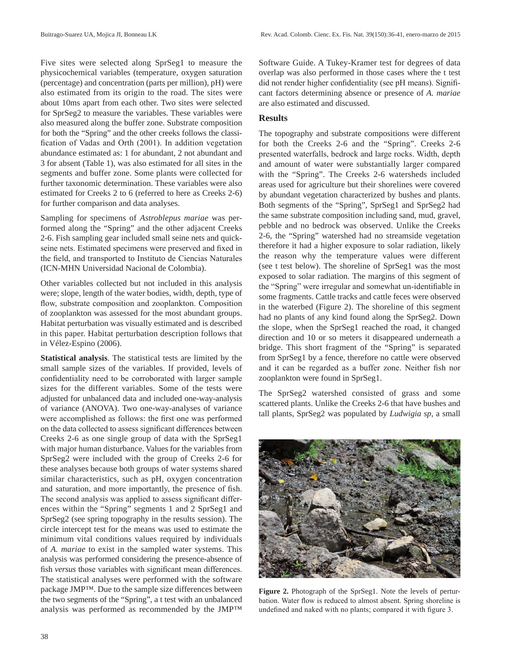Five sites were selected along SprSeg1 to measure the physicochemical variables (temperature, oxygen saturation (percentage) and concentration (parts per million), pH) were also estimated from its origin to the road. The sites were about 10ms apart from each other. Two sites were selected for SprSeg2 to measure the variables. These variables were also measured along the buffer zone. Substrate composition for both the "Spring" and the other creeks follows the classification of Vadas and Orth (2001). In addition vegetation abundance estimated as: 1 for abundant, 2 not abundant and 3 for absent (Table 1), was also estimated for all sites in the segments and buffer zone. Some plants were collected for further taxonomic determination. These variables were also estimated for Creeks 2 to 6 (referred to here as Creeks 2-6) for further comparison and data analyses.

Sampling for specimens of *Astroblepus mariae* was performed along the "Spring" and the other adjacent Creeks 2-6. Fish sampling gear included small seine nets and quickseine nets. Estimated specimens were preserved and fixed in the field, and transported to Instituto de Ciencias Naturales (ICN-MHN Universidad Nacional de Colombia).

Other variables collected but not included in this analysis were; slope, length of the water bodies, width, depth, type of flow, substrate composition and zooplankton. Composition of zooplankton was assessed for the most abundant groups. Habitat perturbation was visually estimated and is described in this paper. Habitat perturbation description follows that in Vélez-Espino (2006).

**Statistical analysis**. The statistical tests are limited by the small sample sizes of the variables. If provided, levels of confidentiality need to be corroborated with larger sample sizes for the different variables. Some of the tests were adjusted for unbalanced data and included one-way-analysis of variance (ANOVA). Two one-way-analyses of variance were accomplished as follows: the first one was performed on the data collected to assess significant differences between Creeks 2-6 as one single group of data with the SprSeg1 with major human disturbance. Values for the variables from SprSeg2 were included with the group of Creeks 2-6 for these analyses because both groups of water systems shared similar characteristics, such as pH, oxygen concentration and saturation, and more importantly, the presence of fish. The second analysis was applied to assess significant differences within the "Spring" segments 1 and 2 SprSeg1 and SprSeg2 (see spring topography in the results session). The circle intercept test for the means was used to estimate the minimum vital conditions values required by individuals of *A. mariae* to exist in the sampled water systems. This analysis was performed considering the presence-absence of fish *versus* those variables with significant mean differences. The statistical analyses were performed with the software package JMP™. Due to the sample size differences between the two segments of the "Spring", a t test with an unbalanced analysis was performed as recommended by the JMP™ Software Guide. A Tukey-Kramer test for degrees of data overlap was also performed in those cases where the t test did not render higher confidentiality (see pH means). Significant factors determining absence or presence of *A. mariae* are also estimated and discussed.

## **Results**

The topography and substrate compositions were different for both the Creeks 2-6 and the "Spring". Creeks 2-6 presented waterfalls, bedrock and large rocks. Width, depth and amount of water were substantially larger compared with the "Spring". The Creeks 2-6 watersheds included areas used for agriculture but their shorelines were covered by abundant vegetation characterized by bushes and plants. Both segments of the "Spring", SprSeg1 and SprSeg2 had the same substrate composition including sand, mud, gravel, pebble and no bedrock was observed. Unlike the Creeks 2-6, the "Spring" watershed had no streamside vegetation therefore it had a higher exposure to solar radiation, likely the reason why the temperature values were different (see t test below). The shoreline of SprSeg1 was the most exposed to solar radiation. The margins of this segment of the "Spring" were irregular and somewhat un-identifiable in some fragments. Cattle tracks and cattle feces were observed in the waterbed (Figure 2). The shoreline of this segment had no plants of any kind found along the SprSeg2. Down the slope, when the SprSeg1 reached the road, it changed direction and 10 or so meters it disappeared underneath a bridge. This short fragment of the "Spring" is separated from SprSeg1 by a fence, therefore no cattle were observed and it can be regarded as a buffer zone. Neither fish nor zooplankton were found in SprSeg1.

The SprSeg2 watershed consisted of grass and some scattered plants. Unlike the Creeks 2-6 that have bushes and tall plants, SprSeg2 was populated by *Ludwigia sp*, a small



**Figure 2.** Photograph of the SprSeg1. Note the levels of perturbation. Water flow is reduced to almost absent. Spring shoreline is undefined and naked with no plants; compared it with figure 3.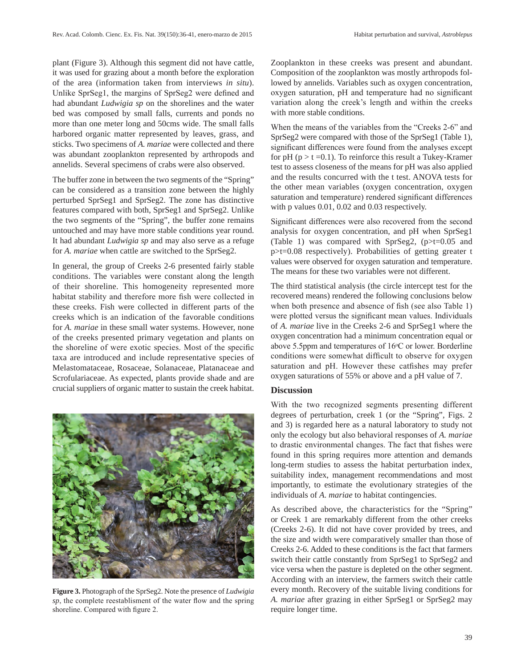plant (Figure 3). Although this segment did not have cattle, it was used for grazing about a month before the exploration of the area (information taken from interviews *in situ*). Unlike SprSeg1, the margins of SprSeg2 were defined and had abundant *Ludwigia sp* on the shorelines and the water bed was composed by small falls, currents and ponds no more than one meter long and 50cms wide. The small falls harbored organic matter represented by leaves, grass, and sticks. Two specimens of *A. mariae* were collected and there was abundant zooplankton represented by arthropods and annelids. Several specimens of crabs were also observed.

The buffer zone in between the two segments of the "Spring" can be considered as a transition zone between the highly perturbed SprSeg1 and SprSeg2. The zone has distinctive features compared with both, SprSeg1 and SprSeg2. Unlike the two segments of the "Spring", the buffer zone remains untouched and may have more stable conditions year round. It had abundant *Ludwigia sp* and may also serve as a refuge for *A. mariae* when cattle are switched to the SprSeg2.

In general, the group of Creeks 2-6 presented fairly stable conditions. The variables were constant along the length of their shoreline. This homogeneity represented more habitat stability and therefore more fish were collected in these creeks. Fish were collected in different parts of the creeks which is an indication of the favorable conditions for *A. mariae* in these small water systems. However, none of the creeks presented primary vegetation and plants on the shoreline of were exotic species. Most of the specific taxa are introduced and include representative species of Melastomataceae, Rosaceae, Solanaceae, Platanaceae and Scrofulariaceae. As expected, plants provide shade and are crucial suppliers of organic matter to sustain the creek habitat.



**Figure 3.** Photograph of the SprSeg2. Note the presence of *Ludwigia sp*, the complete reestablisment of the water flow and the spring shoreline. Compared with figure 2.

Zooplankton in these creeks was present and abundant. Composition of the zooplankton was mostly arthropods followed by annelids. Variables such as oxygen concentration, oxygen saturation, pH and temperature had no significant variation along the creek's length and within the creeks with more stable conditions.

When the means of the variables from the "Creeks 2-6" and SprSeg2 were compared with those of the SprSeg1 (Table 1), significant differences were found from the analyses except for pH ( $p > t = 0.1$ ). To reinforce this result a Tukey-Kramer test to assess closeness of the means for pH was also applied and the results concurred with the t test. ANOVA tests for the other mean variables (oxygen concentration, oxygen saturation and temperature) rendered significant differences with p values 0.01, 0.02 and 0.03 respectively.

Significant differences were also recovered from the second analysis for oxygen concentration, and pH when SprSeg1 (Table 1) was compared with SprSeg2, (p>t=0.05 and p>t=0.08 respectively). Probabilities of getting greater t values were observed for oxygen saturation and temperature. The means for these two variables were not different.

The third statistical analysis (the circle intercept test for the recovered means) rendered the following conclusions below when both presence and absence of fish (see also Table 1) were plotted versus the significant mean values. Individuals of *A. mariae* live in the Creeks 2-6 and SprSeg1 where the oxygen concentration had a minimum concentration equal or above 5.5ppm and temperatures of  $16°C$  or lower. Borderline conditions were somewhat difficult to observe for oxygen saturation and pH. However these catfishes may prefer oxygen saturations of 55% or above and a pH value of 7.

## **Discussion**

With the two recognized segments presenting different degrees of perturbation, creek 1 (or the "Spring", Figs. 2 and 3) is regarded here as a natural laboratory to study not only the ecology but also behavioral responses of *A. mariae* to drastic environmental changes. The fact that fishes were found in this spring requires more attention and demands long-term studies to assess the habitat perturbation index, suitability index, management recommendations and most importantly, to estimate the evolutionary strategies of the individuals of *A. mariae* to habitat contingencies.

As described above, the characteristics for the "Spring" or Creek 1 are remarkably different from the other creeks (Creeks 2-6). It did not have cover provided by trees, and the size and width were comparatively smaller than those of Creeks 2-6. Added to these conditions is the fact that farmers switch their cattle constantly from SprSeg1 to SprSeg2 and vice versa when the pasture is depleted on the other segment. According with an interview, the farmers switch their cattle every month. Recovery of the suitable living conditions for *A. mariae* after grazing in either SprSeg1 or SprSeg2 may require longer time.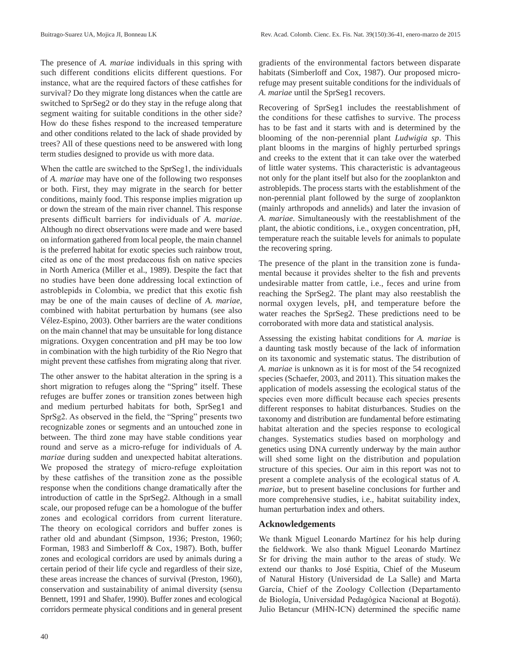The presence of *A. mariae* individuals in this spring with such different conditions elicits different questions. For instance, what are the required factors of these catfishes for survival? Do they migrate long distances when the cattle are switched to SprSeg2 or do they stay in the refuge along that segment waiting for suitable conditions in the other side? How do these fishes respond to the increased temperature and other conditions related to the lack of shade provided by trees? All of these questions need to be answered with long term studies designed to provide us with more data.

When the cattle are switched to the SprSeg1, the individuals of *A. mariae* may have one of the following two responses or both. First, they may migrate in the search for better conditions, mainly food. This response implies migration up or down the stream of the main river channel. This response presents difficult barriers for individuals of *A. mariae*. Although no direct observations were made and were based on information gathered from local people, the main channel is the preferred habitat for exotic species such rainbow trout, cited as one of the most predaceous fish on native species in North America (Miller et al., 1989). Despite the fact that no studies have been done addressing local extinction of astroblepids in Colombia, we predict that this exotic fish may be one of the main causes of decline of *A. mariae*, combined with habitat perturbation by humans (see also Vélez-Espino, 2003). Other barriers are the water conditions on the main channel that may be unsuitable for long distance migrations. Oxygen concentration and pH may be too low in combination with the high turbidity of the Rio Negro that might prevent these catfishes from migrating along that river.

The other answer to the habitat alteration in the spring is a short migration to refuges along the "Spring" itself. These refuges are buffer zones or transition zones between high and medium perturbed habitats for both, SprSeg1 and SprSg2. As observed in the field, the "Spring" presents two recognizable zones or segments and an untouched zone in between. The third zone may have stable conditions year round and serve as a micro-refuge for individuals of *A. mariae* during sudden and unexpected habitat alterations. We proposed the strategy of micro-refuge exploitation by these catfishes of the transition zone as the possible response when the conditions change dramatically after the introduction of cattle in the SprSeg2. Although in a small scale, our proposed refuge can be a homologue of the buffer zones and ecological corridors from current literature. The theory on ecological corridors and buffer zones is rather old and abundant (Simpson, 1936; Preston, 1960; Forman, 1983 and Simberloff & Cox, 1987). Both, buffer zones and ecological corridors are used by animals during a certain period of their life cycle and regardless of their size, these areas increase the chances of survival (Preston, 1960), conservation and sustainability of animal diversity (sensu Bennett, 1991 and Shafer, 1990). Buffer zones and ecological corridors permeate physical conditions and in general present

gradients of the environmental factors between disparate habitats (Simberloff and Cox, 1987). Our proposed microrefuge may present suitable conditions for the individuals of *A. mariae* until the SprSeg1 recovers.

Recovering of SprSeg1 includes the reestablishment of the conditions for these catfishes to survive. The process has to be fast and it starts with and is determined by the blooming of the non-perennial plant *Ludwigia sp*. This plant blooms in the margins of highly perturbed springs and creeks to the extent that it can take over the waterbed of little water systems. This characteristic is advantageous not only for the plant itself but also for the zooplankton and astroblepids. The process starts with the establishment of the non-perennial plant followed by the surge of zooplankton (mainly arthropods and annelids) and later the invasion of *A. mariae*. Simultaneously with the reestablishment of the plant, the abiotic conditions, i.e., oxygen concentration, pH, temperature reach the suitable levels for animals to populate the recovering spring.

The presence of the plant in the transition zone is fundamental because it provides shelter to the fish and prevents undesirable matter from cattle, i.e., feces and urine from reaching the SprSeg2. The plant may also reestablish the normal oxygen levels, pH, and temperature before the water reaches the SprSeg2. These predictions need to be corroborated with more data and statistical analysis.

Assessing the existing habitat conditions for *A. mariae* is a daunting task mostly because of the lack of information on its taxonomic and systematic status. The distribution of *A. mariae* is unknown as it is for most of the 54 recognized species (Schaefer, 2003, and 2011). This situation makes the application of models assessing the ecological status of the species even more difficult because each species presents different responses to habitat disturbances. Studies on the taxonomy and distribution are fundamental before estimating habitat alteration and the species response to ecological changes. Systematics studies based on morphology and genetics using DNA currently underway by the main author will shed some light on the distribution and population structure of this species. Our aim in this report was not to present a complete analysis of the ecological status of *A. mariae*, but to present baseline conclusions for further and more comprehensive studies, i.e., habitat suitability index, human perturbation index and others.

## **Acknowledgements**

We thank Miguel Leonardo Martínez for his help during the fieldwork. We also thank Miguel Leonardo Martínez Sr for driving the main author to the areas of study. We extend our thanks to José Espitia, Chief of the Museum of Natural History (Universidad de La Salle) and Marta García, Chief of the Zoology Collection (Departamento de Biología, Universidad Pedagógica Nacional at Bogotá). Julio Betancur (MHN-ICN) determined the specific name